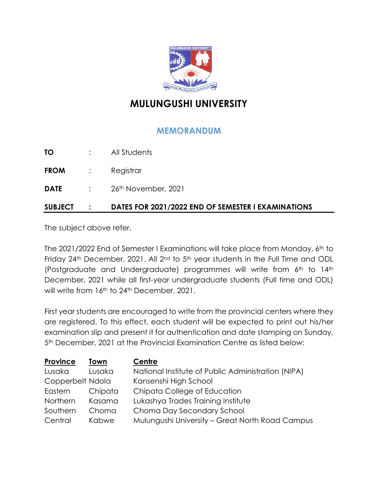

## **MULUNGUSHI UNIVERSITY**

## **MEMORANDUM**

| SUBJECT     |                                                                                   | DATES FOR 2021/2022 END OF SEMESTER I EXAMINATIONS |
|-------------|-----------------------------------------------------------------------------------|----------------------------------------------------|
| <b>DATE</b> |                                                                                   | $\therefore$ 26 <sup>th</sup> November, 2021       |
| FROM        | $\mathcal{L}^{\text{max}}_{\text{max}}$ , $\mathcal{L}^{\text{max}}_{\text{max}}$ | Registrar                                          |
| TO          |                                                                                   | All Students                                       |

The subject above refer.

The 2021/2022 End of Semester I Examinations will take place from Monday, 6<sup>th</sup> to Friday 24<sup>th</sup> December, 2021. All 2<sup>nd</sup> to 5<sup>th</sup> year students in the Full Time and ODL (Postgraduate and Undergraduate) programmes will write from 6th to 14th December, 2021 while all first-year undergraduate students (Full time and ODL) will write from 16<sup>th</sup> to 24<sup>th</sup> December, 2021.

First year students are encouraged to write from the provincial centers where they are registered. To this effect, each student will be expected to print out his/her examination slip and present it for authentication and date stamping on Sunday, 5th December, 2021 at the Provincial Examination Centre as listed below:

| Province         | Town         | Centre                                             |
|------------------|--------------|----------------------------------------------------|
| Lusaka           | Lusaka       | National Institute of Public Administration (NIPA) |
| Copperbelt Ndola |              | Kansenshi High School                              |
| Eastern          | Chipata      | Chipata College of Education                       |
| Northern         | Kasama       | Lukashya Trades Training Institute                 |
| Southern         | Choma        | Choma Day Secondary School                         |
| Central          | <b>Kabwe</b> | Mulungushi University - Great North Road Campus    |